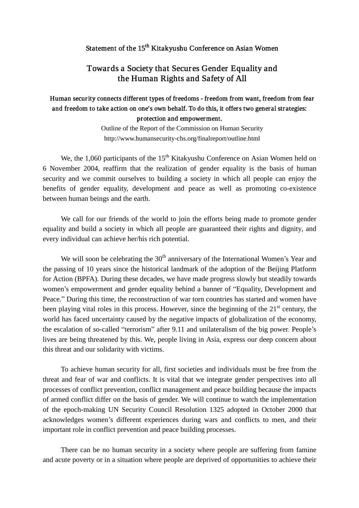## Statement of the 15<sup>th</sup> Kitakyushu Conference on Asian Women

## Towards a Society that Secures Gender Equality and the Human Rights and Safety of All

## Human security connects different types of freedoms - freedom from want, freedom from fear and freedom to take action on one's own behalf. To do this, it offers two general strategies: protection and empowerment.

Outline of the Report of the Commission on Human Security http://www.humansecurity-chs.org/finalreport/outline.html

We, the 1,060 participants of the  $15<sup>th</sup>$  Kitakyushu Conference on Asian Women held on 6 November 2004, reaffirm that the realization of gender equality is the basis of human security and we commit ourselves to building a society in which all people can enjoy the benefits of gender equality, development and peace as well as promoting co-existence between human beings and the earth.

We call for our friends of the world to join the efforts being made to promote gender equality and build a society in which all people are guaranteed their rights and dignity, and every individual can achieve her/his rich potential.

We will soon be celebrating the  $30<sup>th</sup>$  anniversary of the International Women's Year and the passing of 10 years since the historical landmark of the adoption of the Beijing Platform for Action (BPFA). During these decades, we have made progress slowly but steadily towards women's empowerment and gender equality behind a banner of "Equality, Development and Peace." During this time, the reconstruction of war torn countries has started and women have been playing vital roles in this process. However, since the beginning of the  $21<sup>st</sup>$  century, the world has faced uncertainty caused by the negative impacts of globalization of the economy, the escalation of so-called "terrorism" after 9.11 and unilateralism of the big power. People's lives are being threatened by this. We, people living in Asia, express our deep concern about this threat and our solidarity with victims.

To achieve human security for all, first societies and individuals must be free from the threat and fear of war and conflicts. It is vital that we integrate gender perspectives into all processes of conflict prevention, conflict management and peace building because the impacts of armed conflict differ on the basis of gender. We will continue to watch the implementation of the epoch-making UN Security Council Resolution 1325 adopted in October 2000 that acknowledges women's different experiences during wars and conflicts to men, and their important role in conflict prevention and peace building processes.

There can be no human security in a society where people are suffering from famine and acute poverty or in a situation where people are deprived of opportunities to achieve their